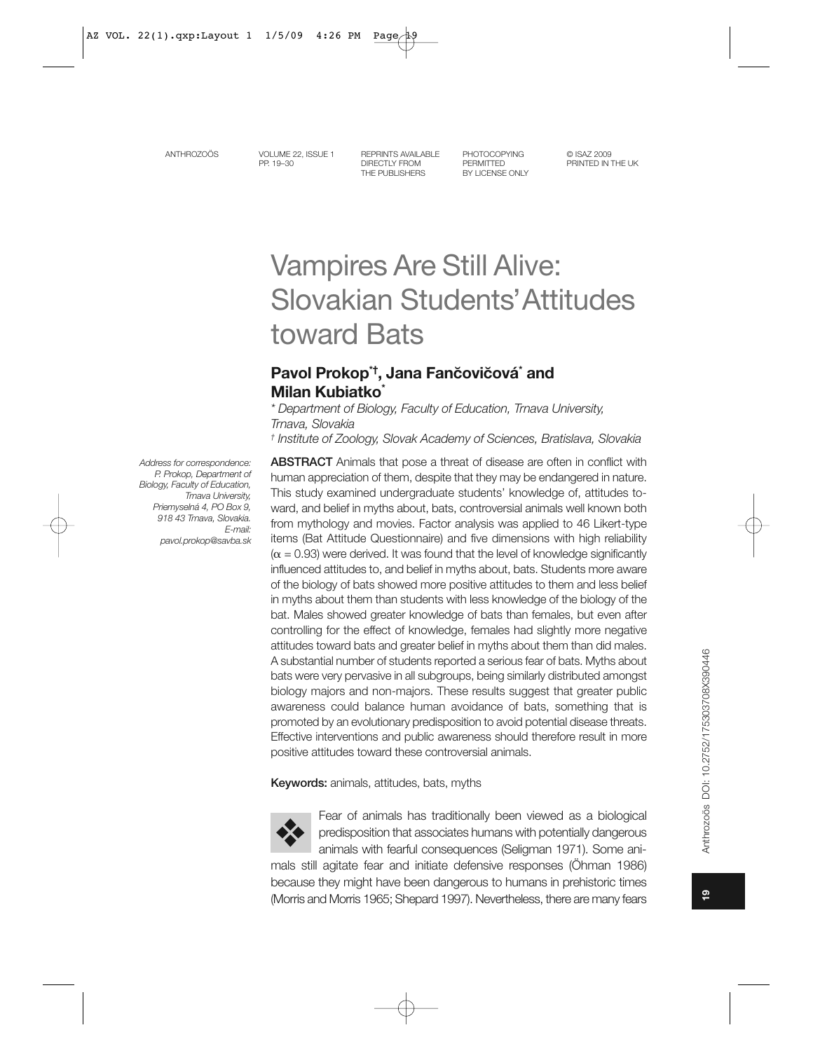ANTHROZOÖS VOLUME 22, ISSUE 1 REPRINTS AVAILABLE PHOTOCOPYING © ISAZ 2009 DIRECTLY FROM PERMITTED PRINTED IN THE UK<br>THE PUBLISHERS BY LICENSE ONLY

BY LICENSE ONLY

# Vampires Are Still Alive: Slovakian Students'Attitudes toward Bats

# Pavol Prokop<sup>\*†</sup>, Jana Fančovičová<sup>\*</sup> and **Milan Kubiatko\***

*\* Department of Biology, Faculty of Education, Trnava University, Trnava, Slovakia*

*† Institute of Zoology, Slovak Academy of Sciences, Bratislava, Slovakia*

*Address for correspondence: P. Prokop, Department of Biology, Faculty of Education, Trnava University, Priemyselná 4, PO Box 9, 918 43 Trnava, Slovakia. E-mail: pavol.prokop@savba.sk*

**ABSTRACT** Animals that pose a threat of disease are often in conflict with human appreciation of them, despite that they may be endangered in nature. This study examined undergraduate students' knowledge of, attitudes toward, and belief in myths about, bats, controversial animals well known both from mythology and movies. Factor analysis was applied to 46 Likert-type items (Bat Attitude Questionnaire) and five dimensions with high reliability  $(\alpha = 0.93)$  were derived. It was found that the level of knowledge significantly influenced attitudes to, and belief in myths about, bats. Students more aware of the biology of bats showed more positive attitudes to them and less belief in myths about them than students with less knowledge of the biology of the bat. Males showed greater knowledge of bats than females, but even after controlling for the effect of knowledge, females had slightly more negative attitudes toward bats and greater belief in myths about them than did males. A substantial number of students reported a serious fear of bats. Myths about bats were very pervasive in all subgroups, being similarly distributed amongst biology majors and non-majors. These results suggest that greater public awareness could balance human avoidance of bats, something that is promoted by an evolutionary predisposition to avoid potential disease threats. Effective interventions and public awareness should therefore result in more positive attitudes toward these controversial animals.

**Keywords:** animals, attitudes, bats, myths



Fear of animals has traditionally been viewed as a biological predisposition that associates humans with potentially dangerous animals with fearful consequences (Seligman 1971). Some ani-

mals still agitate fear and initiate defensive responses (Öhman 1986) because they might have been dangerous to humans in prehistoric times (Morris and Morris 1965; Shepard 1997). Nevertheless, there are many fears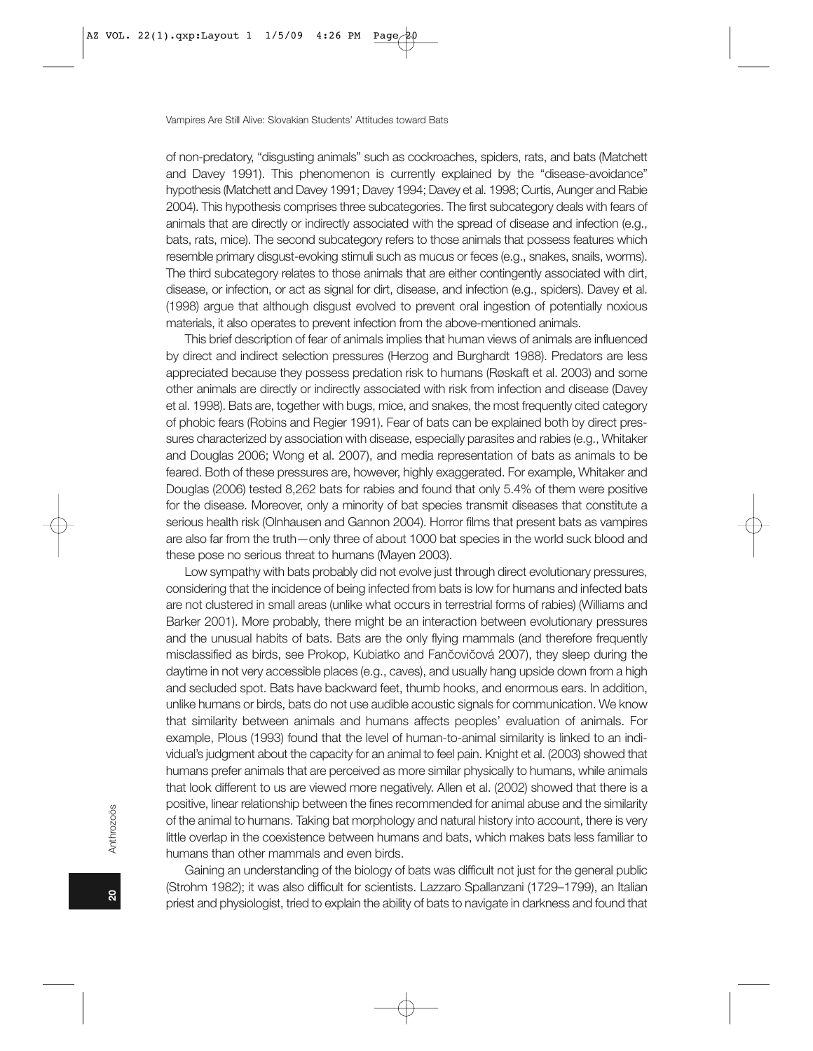of non-predatory, "disgusting animals" such as cockroaches, spiders, rats, and bats (Matchett and Davey 1991). This phenomenon is currently explained by the "disease-avoidance" hypothesis (Matchett and Davey 1991; Davey 1994; Davey et al. 1998; Curtis, Aunger and Rabie 2004). This hypothesis comprises three subcategories. The first subcategory deals with fears of animals that are directly or indirectly associated with the spread of disease and infection (e.g., bats, rats, mice). The second subcategory refers to those animals that possess features which resemble primary disgust-evoking stimuli such as mucus or feces (e.g., snakes, snails, worms). The third subcategory relates to those animals that are either contingently associated with dirt, disease, or infection, or act as signal for dirt, disease, and infection (e.g., spiders). Davey et al. (1998) argue that although disgust evolved to prevent oral ingestion of potentially noxious materials, it also operates to prevent infection from the above-mentioned animals.

This brief description of fear of animals implies that human views of animals are influenced by direct and indirect selection pressures (Herzog and Burghardt 1988). Predators are less appreciated because they possess predation risk to humans (Røskaft et al. 2003) and some other animals are directly or indirectly associated with risk from infection and disease (Davey et al. 1998). Bats are, together with bugs, mice, and snakes, the most frequently cited category of phobic fears (Robins and Regier 1991). Fear of bats can be explained both by direct pressures characterized by association with disease, especially parasites and rabies (e.g., Whitaker and Douglas 2006; Wong et al. 2007), and media representation of bats as animals to be feared. Both of these pressures are, however, highly exaggerated. For example, Whitaker and Douglas (2006) tested 8,262 bats for rabies and found that only 5.4% of them were positive for the disease. Moreover, only a minority of bat species transmit diseases that constitute a serious health risk (Olnhausen and Gannon 2004). Horror films that present bats as vampires are also far from the truth—only three of about 1000 bat species in the world suck blood and these pose no serious threat to humans (Mayen 2003).

Low sympathy with bats probably did not evolve just through direct evolutionary pressures, considering that the incidence of being infected from bats is low for humans and infected bats are not clustered in small areas (unlike what occurs in terrestrial forms of rabies) (Williams and Barker 2001). More probably, there might be an interaction between evolutionary pressures and the unusual habits of bats. Bats are the only flying mammals (and therefore frequently misclassified as birds, see Prokop, Kubiatko and Fančovičová 2007), they sleep during the daytime in not very accessible places (e.g., caves), and usually hang upside down from a high and secluded spot. Bats have backward feet, thumb hooks, and enormous ears. In addition, unlike humans or birds, bats do not use audible acoustic signals for communication. We know that similarity between animals and humans affects peoples' evaluation of animals. For example, Plous (1993) found that the level of human-to-animal similarity is linked to an individual's judgment about the capacity for an animal to feel pain. Knight et al. (2003) showed that humans prefer animals that are perceived as more similar physically to humans, while animals that look different to us are viewed more negatively. Allen et al. (2002) showed that there is a positive, linear relationship between the fines recommended for animal abuse and the similarity of the animal to humans. Taking bat morphology and natural history into account, there is very little overlap in the coexistence between humans and bats, which makes bats less familiar to humans than other mammals and even birds.

Gaining an understanding of the biology of bats was difficult not just for the general public (Strohm 1982); it was also difficult for scientists. Lazzaro Spallanzani (1729–1799), an Italian priest and physiologist, tried to explain the ability of bats to navigate in darkness and found that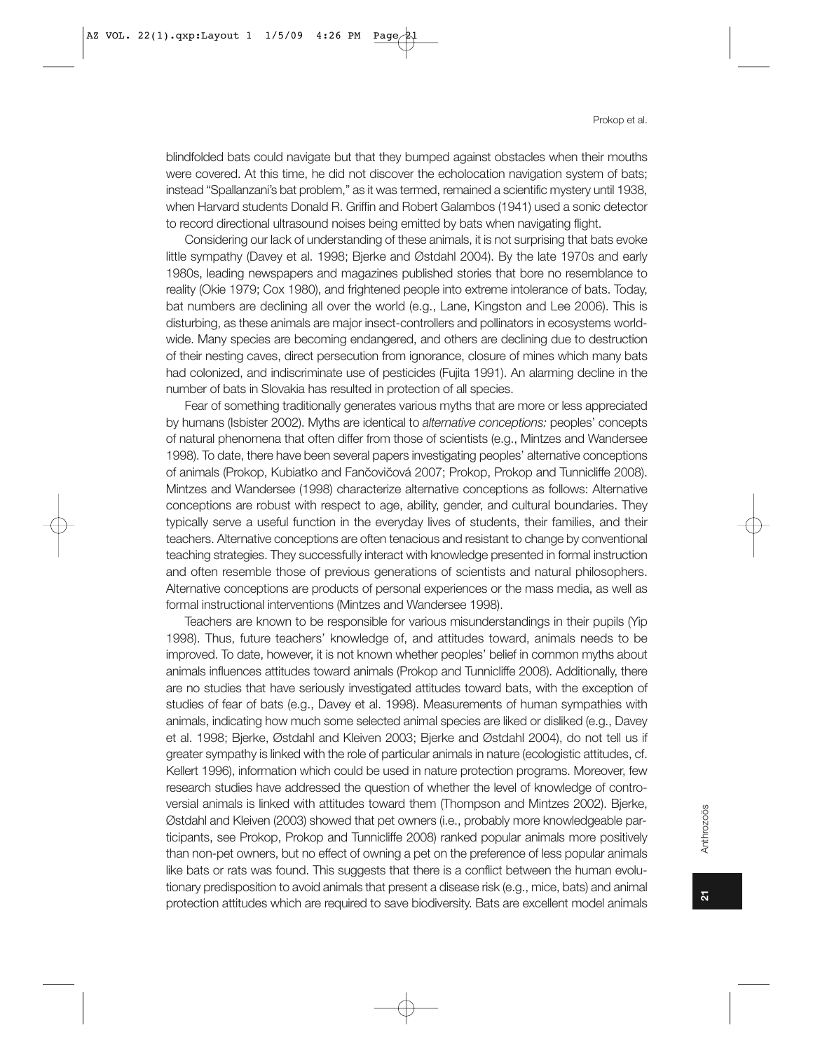blindfolded bats could navigate but that they bumped against obstacles when their mouths were covered. At this time, he did not discover the echolocation navigation system of bats; instead "Spallanzani's bat problem," as it was termed, remained a scientific mystery until 1938, when Harvard students Donald R. Griffin and Robert Galambos (1941) used a sonic detector to record directional ultrasound noises being emitted by bats when navigating flight.

Considering our lack of understanding of these animals, it is not surprising that bats evoke little sympathy (Davey et al. 1998; Bjerke and Østdahl 2004). By the late 1970s and early 1980s, leading newspapers and magazines published stories that bore no resemblance to reality (Okie 1979; Cox 1980), and frightened people into extreme intolerance of bats. Today, bat numbers are declining all over the world (e.g., Lane, Kingston and Lee 2006). This is disturbing, as these animals are major insect-controllers and pollinators in ecosystems worldwide. Many species are becoming endangered, and others are declining due to destruction of their nesting caves, direct persecution from ignorance, closure of mines which many bats had colonized, and indiscriminate use of pesticides (Fujita 1991). An alarming decline in the number of bats in Slovakia has resulted in protection of all species.

Fear of something traditionally generates various myths that are more or less appreciated by humans (Isbister 2002). Myths are identical to *alternative conceptions:* peoples' concepts of natural phenomena that often differ from those of scientists (e.g., Mintzes and Wandersee 1998). To date, there have been several papers investigating peoples' alternative conceptions of animals (Prokop, Kubiatko and Fančovičová 2007; Prokop, Prokop and Tunnicliffe 2008). Mintzes and Wandersee (1998) characterize alternative conceptions as follows: Alternative conceptions are robust with respect to age, ability, gender, and cultural boundaries. They typically serve a useful function in the everyday lives of students, their families, and their teachers. Alternative conceptions are often tenacious and resistant to change by conventional teaching strategies. They successfully interact with knowledge presented in formal instruction and often resemble those of previous generations of scientists and natural philosophers. Alternative conceptions are products of personal experiences or the mass media, as well as formal instructional interventions (Mintzes and Wandersee 1998).

Teachers are known to be responsible for various misunderstandings in their pupils (Yip 1998). Thus, future teachers' knowledge of, and attitudes toward, animals needs to be improved. To date, however, it is not known whether peoples' belief in common myths about animals influences attitudes toward animals (Prokop and Tunnicliffe 2008). Additionally, there are no studies that have seriously investigated attitudes toward bats, with the exception of studies of fear of bats (e.g., Davey et al. 1998). Measurements of human sympathies with animals, indicating how much some selected animal species are liked or disliked (e.g., Davey et al. 1998; Bjerke, Østdahl and Kleiven 2003; Bjerke and Østdahl 2004), do not tell us if greater sympathy is linked with the role of particular animals in nature (ecologistic attitudes, cf. Kellert 1996), information which could be used in nature protection programs. Moreover, few research studies have addressed the question of whether the level of knowledge of controversial animals is linked with attitudes toward them (Thompson and Mintzes 2002). Bjerke, Østdahl and Kleiven (2003) showed that pet owners (i.e., probably more knowledgeable participants, see Prokop, Prokop and Tunnicliffe 2008) ranked popular animals more positively than non-pet owners, but no effect of owning a pet on the preference of less popular animals like bats or rats was found. This suggests that there is a conflict between the human evolutionary predisposition to avoid animals that present a disease risk (e.g., mice, bats) and animal protection attitudes which are required to save biodiversity. Bats are excellent model animals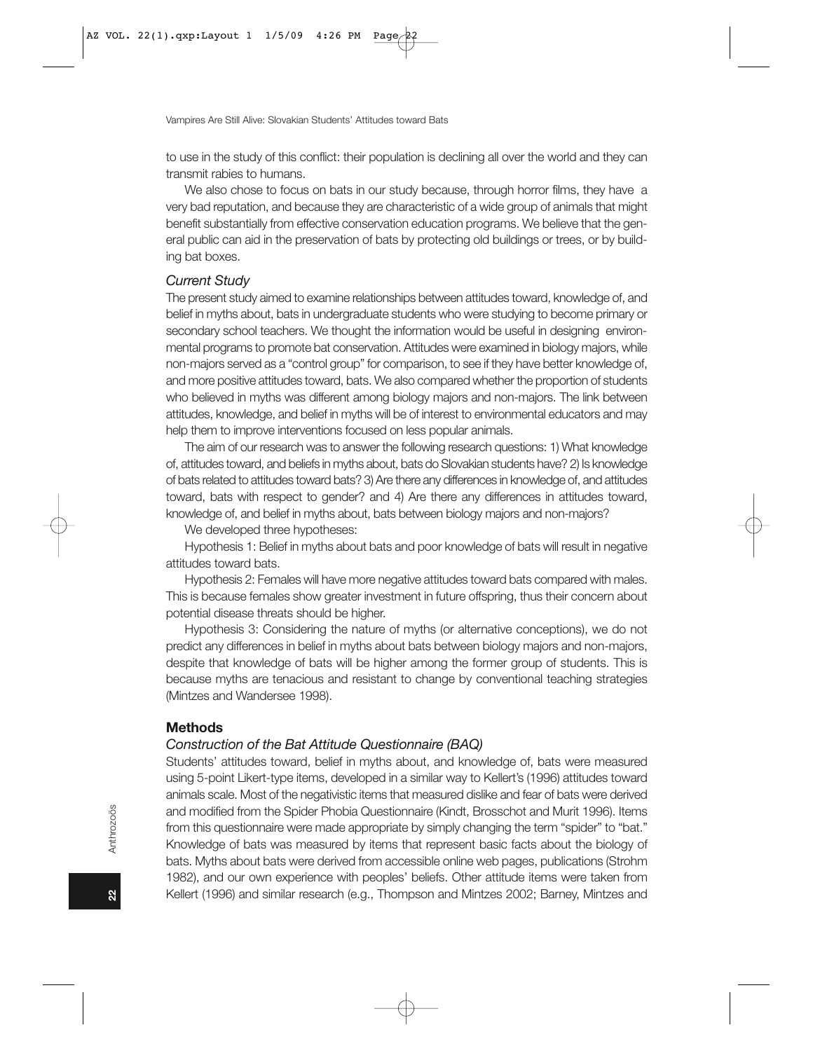to use in the study of this conflict: their population is declining all over the world and they can transmit rabies to humans.

We also chose to focus on bats in our study because, through horror films, they have a very bad reputation, and because they are characteristic of a wide group of animals that might benefit substantially from effective conservation education programs. We believe that the general public can aid in the preservation of bats by protecting old buildings or trees, or by building bat boxes.

# *Current Study*

The present study aimed to examine relationships between attitudes toward, knowledge of, and belief in myths about, bats in undergraduate students who were studying to become primary or secondary school teachers. We thought the information would be useful in designing environmental programs to promote bat conservation. Attitudes were examined in biology majors, while non-majors served as a "control group" for comparison, to see if they have better knowledge of, and more positive attitudes toward, bats. We also compared whether the proportion of students who believed in myths was different among biology majors and non-majors. The link between attitudes, knowledge, and belief in myths will be of interest to environmental educators and may help them to improve interventions focused on less popular animals.

The aim of our research was to answer the following research questions: 1) What knowledge of, attitudes toward, and beliefs in myths about, bats do Slovakian students have? 2) Is knowledge of bats related to attitudes toward bats? 3) Are there any differences in knowledge of, and attitudes toward, bats with respect to gender? and 4) Are there any differences in attitudes toward, knowledge of, and belief in myths about, bats between biology majors and non-majors?

We developed three hypotheses:

Hypothesis 1: Belief in myths about bats and poor knowledge of bats will result in negative attitudes toward bats.

Hypothesis 2: Females will have more negative attitudes toward bats compared with males. This is because females show greater investment in future offspring, thus their concern about potential disease threats should be higher.

Hypothesis 3: Considering the nature of myths (or alternative conceptions), we do not predict any differences in belief in myths about bats between biology majors and non-majors, despite that knowledge of bats will be higher among the former group of students. This is because myths are tenacious and resistant to change by conventional teaching strategies (Mintzes and Wandersee 1998).

# **Methods**

#### *Construction of the Bat Attitude Questionnaire (BAQ)*

Students' attitudes toward, belief in myths about, and knowledge of, bats were measured using 5-point Likert-type items, developed in a similar way to Kellert's (1996) attitudes toward animals scale. Most of the negativistic items that measured dislike and fear of bats were derived and modified from the Spider Phobia Questionnaire (Kindt, Brosschot and Murit 1996). Items from this questionnaire were made appropriate by simply changing the term "spider" to "bat." Knowledge of bats was measured by items that represent basic facts about the biology of bats. Myths about bats were derived from accessible online web pages, publications (Strohm 1982), and our own experience with peoples' beliefs. Other attitude items were taken from Kellert (1996) and similar research (e.g., Thompson and Mintzes 2002; Barney, Mintzes and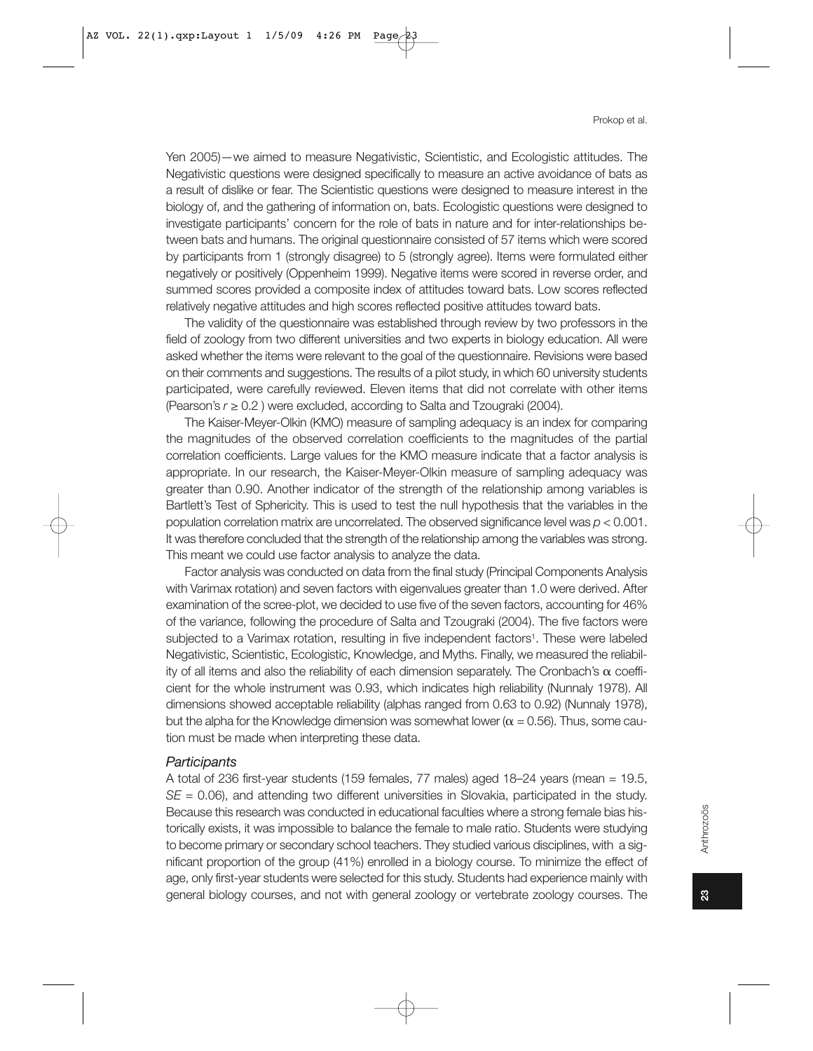Yen 2005)—we aimed to measure Negativistic, Scientistic, and Ecologistic attitudes. The Negativistic questions were designed specifically to measure an active avoidance of bats as a result of dislike or fear. The Scientistic questions were designed to measure interest in the biology of, and the gathering of information on, bats. Ecologistic questions were designed to investigate participants' concern for the role of bats in nature and for inter-relationships between bats and humans. The original questionnaire consisted of 57 items which were scored by participants from 1 (strongly disagree) to 5 (strongly agree). Items were formulated either negatively or positively (Oppenheim 1999). Negative items were scored in reverse order, and summed scores provided a composite index of attitudes toward bats. Low scores reflected relatively negative attitudes and high scores reflected positive attitudes toward bats.

The validity of the questionnaire was established through review by two professors in the field of zoology from two different universities and two experts in biology education. All were asked whether the items were relevant to the goal of the questionnaire. Revisions were based on their comments and suggestions. The results of a pilot study, in which 60 university students participated, were carefully reviewed. Eleven items that did not correlate with other items (Pearson's *r* ≥ 0.2 ) were excluded, according to Salta and Tzougraki (2004).

The Kaiser-Meyer-Olkin (KMO) measure of sampling adequacy is an index for comparing the magnitudes of the observed correlation coefficients to the magnitudes of the partial correlation coefficients. Large values for the KMO measure indicate that a factor analysis is appropriate. In our research, the Kaiser-Meyer-Olkin measure of sampling adequacy was greater than 0.90. Another indicator of the strength of the relationship among variables is Bartlett's Test of Sphericity. This is used to test the null hypothesis that the variables in the population correlation matrix are uncorrelated. The observed significance level was *p* < 0.001. It was therefore concluded that the strength of the relationship among the variables was strong. This meant we could use factor analysis to analyze the data.

Factor analysis was conducted on data from the final study (Principal Components Analysis with Varimax rotation) and seven factors with eigenvalues greater than 1.0 were derived. After examination of the scree-plot, we decided to use five of the seven factors, accounting for 46% of the variance, following the procedure of Salta and Tzougraki (2004). The five factors were subjected to a Varimax rotation, resulting in five independent factors<sup>1</sup>. These were labeled Negativistic, Scientistic, Ecologistic, Knowledge, and Myths. Finally, we measured the reliability of all items and also the reliability of each dimension separately. The Cronbach's  $\alpha$  coefficient for the whole instrument was 0.93, which indicates high reliability (Nunnaly 1978). All dimensions showed acceptable reliability (alphas ranged from 0.63 to 0.92) (Nunnaly 1978), but the alpha for the Knowledge dimension was somewhat lower ( $\alpha$  = 0.56). Thus, some caution must be made when interpreting these data.

#### *Participants*

A total of 236 first-year students (159 females, 77 males) aged 18–24 years (mean = 19.5, *SE* = 0.06), and attending two different universities in Slovakia, participated in the study. Because this research was conducted in educational faculties where a strong female bias historically exists, it was impossible to balance the female to male ratio. Students were studying to become primary or secondary school teachers. They studied various disciplines, with a significant proportion of the group (41%) enrolled in a biology course. To minimize the effect of age, only first-year students were selected for this study. Students had experience mainly with general biology courses, and not with general zoology or vertebrate zoology courses. The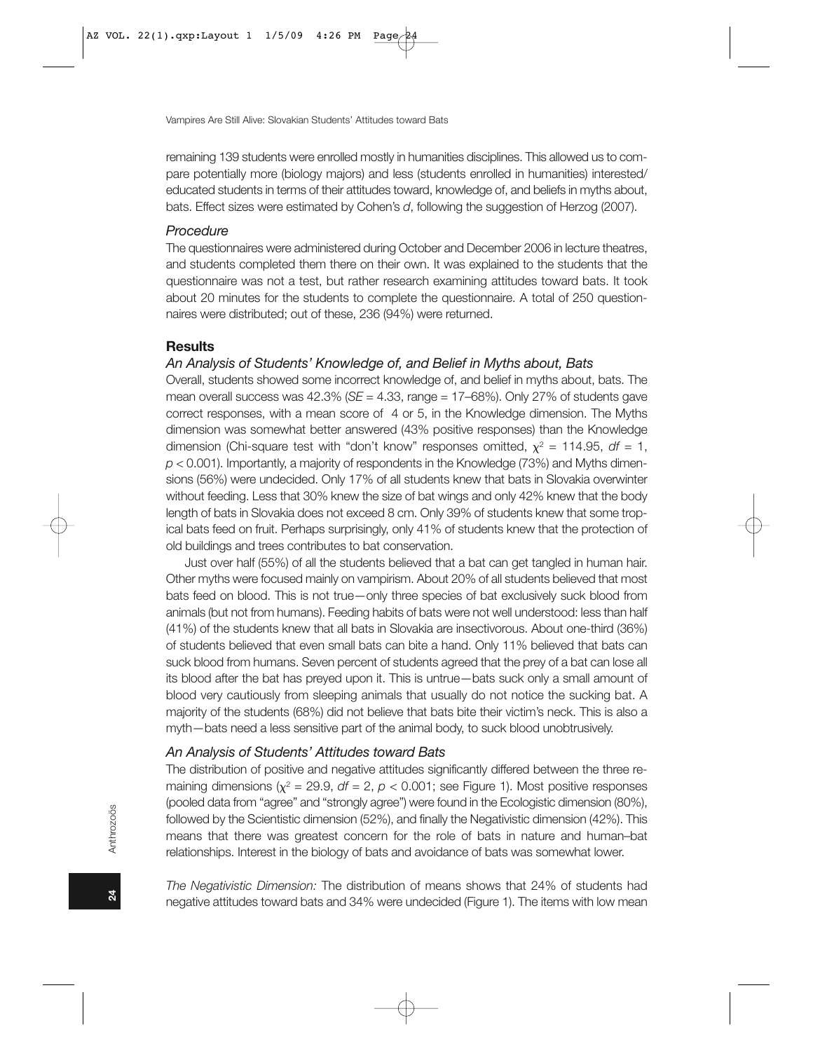remaining 139 students were enrolled mostly in humanities disciplines. This allowed us to compare potentially more (biology majors) and less (students enrolled in humanities) interested/ educated students in terms of their attitudes toward, knowledge of, and beliefs in myths about, bats. Effect sizes were estimated by Cohen's *d*, following the suggestion of Herzog (2007).

## *Procedure*

The questionnaires were administered during October and December 2006 in lecture theatres, and students completed them there on their own. It was explained to the students that the questionnaire was not a test, but rather research examining attitudes toward bats. It took about 20 minutes for the students to complete the questionnaire. A total of 250 questionnaires were distributed; out of these, 236 (94%) were returned.

# **Results**

# *An Analysis of Students' Knowledge of, and Belief in Myths about, Bats*

Overall, students showed some incorrect knowledge of, and belief in myths about, bats. The mean overall success was 42.3% (*SE* = 4.33, range = 17–68%). Only 27% of students gave correct responses, with a mean score of 4 or 5, in the Knowledge dimension. The Myths dimension was somewhat better answered (43% positive responses) than the Knowledge dimension (Chi-square test with "don't know" responses omitted,  $\chi^2 = 114.95$ , *df* = 1, *p* < 0.001). Importantly, a majority of respondents in the Knowledge (73%) and Myths dimensions (56%) were undecided. Only 17% of all students knew that bats in Slovakia overwinter without feeding. Less that 30% knew the size of bat wings and only 42% knew that the body length of bats in Slovakia does not exceed 8 cm. Only 39% of students knew that some tropical bats feed on fruit. Perhaps surprisingly, only 41% of students knew that the protection of old buildings and trees contributes to bat conservation.

Just over half (55%) of all the students believed that a bat can get tangled in human hair. Other myths were focused mainly on vampirism. About 20% of all students believed that most bats feed on blood. This is not true—only three species of bat exclusively suck blood from animals (but not from humans). Feeding habits of bats were not well understood: less than half (41%) of the students knew that all bats in Slovakia are insectivorous. About one-third (36%) of students believed that even small bats can bite a hand. Only 11% believed that bats can suck blood from humans. Seven percent of students agreed that the prey of a bat can lose all its blood after the bat has preyed upon it. This is untrue—bats suck only a small amount of blood very cautiously from sleeping animals that usually do not notice the sucking bat. A majority of the students (68%) did not believe that bats bite their victim's neck. This is also a myth—bats need a less sensitive part of the animal body, to suck blood unobtrusively.

# *An Analysis of Students' Attitudes toward Bats*

The distribution of positive and negative attitudes significantly differed between the three remaining dimensions ( $x^2 = 29.9$ ,  $df = 2$ ,  $p < 0.001$ ; see Figure 1). Most positive responses (pooled data from "agree" and "strongly agree") were found in the Ecologistic dimension (80%), followed by the Scientistic dimension (52%), and finally the Negativistic dimension (42%). This means that there was greatest concern for the role of bats in nature and human–bat relationships. Interest in the biology of bats and avoidance of bats was somewhat lower.

*The Negativistic Dimension:* The distribution of means shows that 24% of students had negative attitudes toward bats and 34% were undecided (Figure 1). The items with low mean

 $\overline{a}$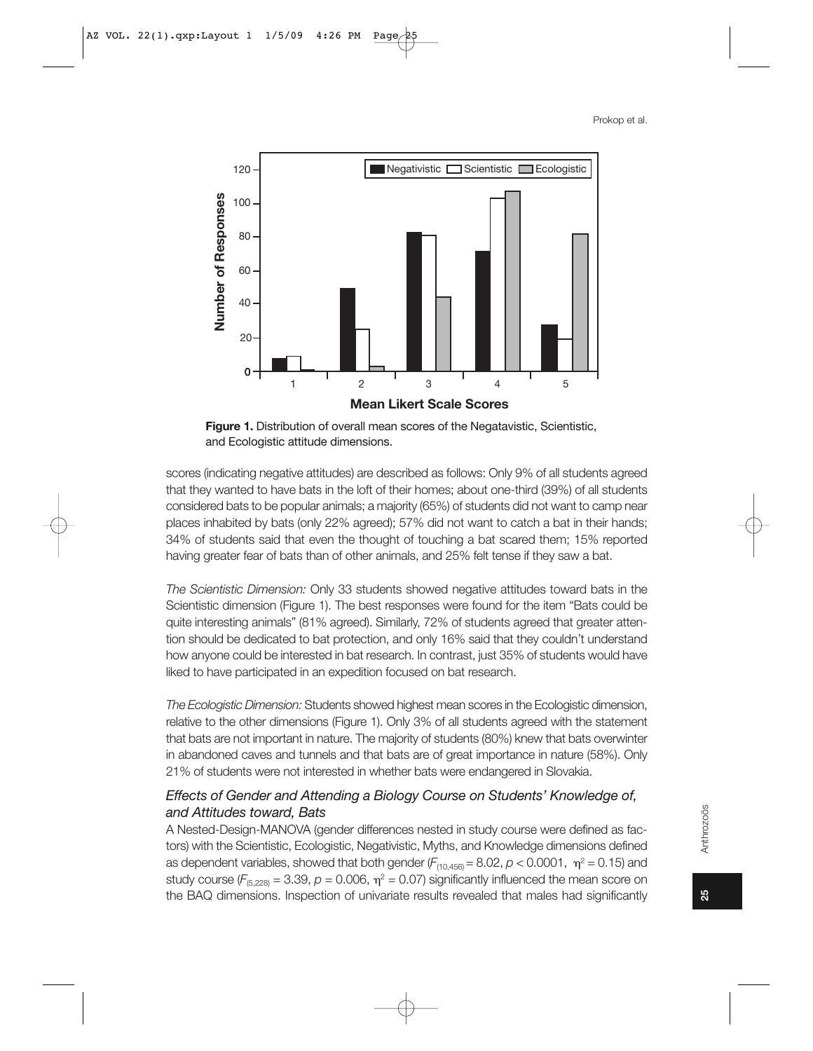

**Figure 1.** Distribution of overall mean scores of the Negatavistic, Scientistic, and Ecologistic attitude dimensions.

scores (indicating negative attitudes) are described as follows: Only 9% of all students agreed that they wanted to have bats in the loft of their homes; about one-third (39%) of all students considered bats to be popular animals; a majority (65%) of students did not want to camp near places inhabited by bats (only 22% agreed); 57% did not want to catch a bat in their hands; 34% of students said that even the thought of touching a bat scared them; 15% reported having greater fear of bats than of other animals, and 25% felt tense if they saw a bat.

*The Scientistic Dimension:* Only 33 students showed negative attitudes toward bats in the Scientistic dimension (Figure 1). The best responses were found for the item "Bats could be quite interesting animals" (81% agreed). Similarly, 72% of students agreed that greater attention should be dedicated to bat protection, and only 16% said that they couldn't understand how anyone could be interested in bat research. In contrast, just 35% of students would have liked to have participated in an expedition focused on bat research.

*The Ecologistic Dimension:* Students showed highest mean scores in the Ecologistic dimension, relative to the other dimensions (Figure 1). Only 3% of all students agreed with the statement that bats are not important in nature. The majority of students (80%) knew that bats overwinter in abandoned caves and tunnels and that bats are of great importance in nature (58%). Only 21% of students were not interested in whether bats were endangered in Slovakia.

# *Effects of Gender and Attending a Biology Course on Students' Knowledge of, and Attitudes toward, Bats*

A Nested-Design-MANOVA (gender differences nested in study course were defined as factors) with the Scientistic, Ecologistic, Negativistic, Myths, and Knowledge dimensions defined as dependent variables, showed that both gender  $(F_{(10,456)} = 8.02, p < 0.0001, \eta^2 = 0.15)$  and study course  $(F_{(5,228)} = 3.39, p = 0.006, \eta^2 = 0.07)$  significantly influenced the mean score on the BAQ dimensions. Inspection of univariate results revealed that males had significantly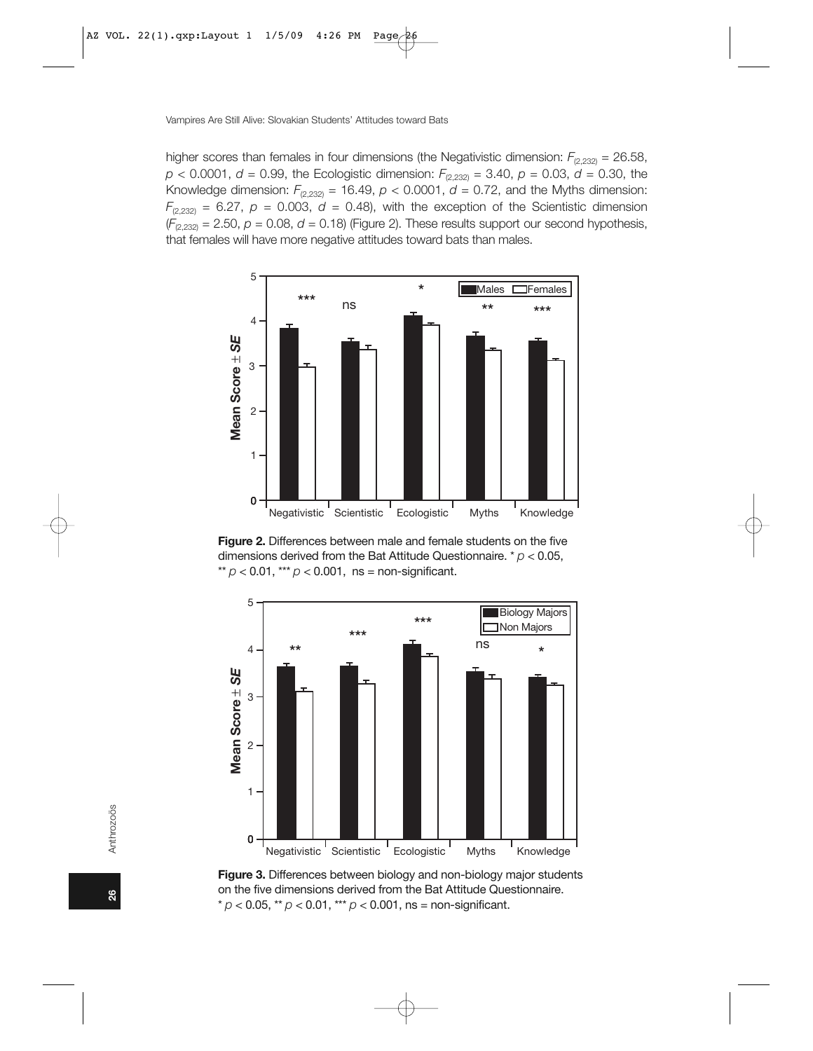higher scores than females in four dimensions (the Negativistic dimension:  $F_{(2,232)} = 26.58$ ,  $p$  < 0.0001, *d* = 0.99, the Ecologistic dimension:  $F_{(2,232)} = 3.40$ ,  $p = 0.03$ , *d* = 0.30, the Knowledge dimension:  $F_{(2,33)} = 16.49$ ,  $p < 0.0001$ ,  $d = 0.72$ , and the Myths dimension:  $F_{(2,232)} = 6.27$ ,  $p = 0.003$ ,  $d = 0.48$ ), with the exception of the Scientistic dimension  $(F_{(2,332)} = 2.50, p = 0.08, d = 0.18)$  (Figure 2). These results support our second hypothesis, that females will have more negative attitudes toward bats than males.



**Figure 2.** Differences between male and female students on the five dimensions derived from the Bat Attitude Questionnaire. \* *p* < 0.05,  $*$  *p* < 0.01, \*\*\* *p* < 0.001, ns = non-significant.



**Figure 3.** Differences between biology and non-biology major students on the five dimensions derived from the Bat Attitude Questionnaire.  $* p < 0.05$ ,  $* p < 0.01$ ,  $** p < 0.001$ , ns = non-significant.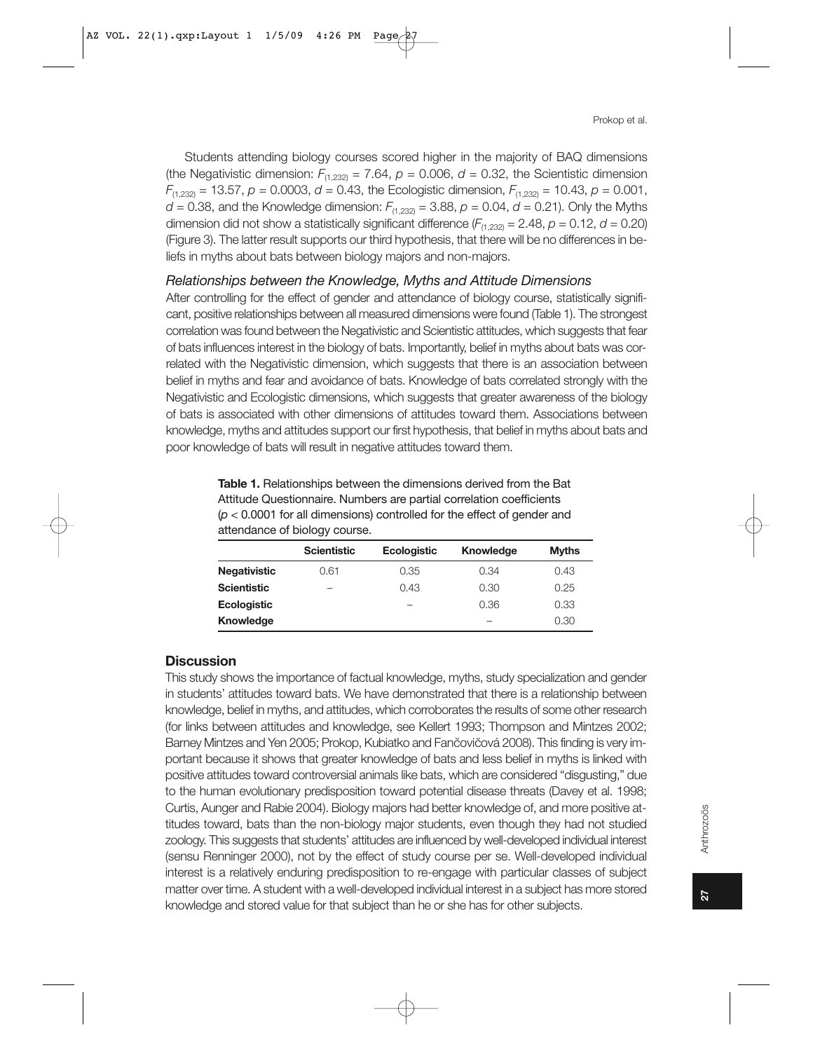Students attending biology courses scored higher in the majority of BAQ dimensions (the Negativistic dimension:  $F_{(1,232)} = 7.64$ ,  $p = 0.006$ ,  $d = 0.32$ , the Scientistic dimension  $F_{(1,232)} = 13.57$ ,  $p = 0.0003$ ,  $d = 0.43$ , the Ecologistic dimension,  $F_{(1,232)} = 10.43$ ,  $p = 0.001$ , *d* = 0.38, and the Knowledge dimension:  $F_{(1,232)} = 3.88$ ,  $p = 0.04$ ,  $d = 0.21$ ). Only the Myths dimension did not show a statistically significant difference  $(F_{(1,232)} = 2.48, p = 0.12, d = 0.20)$ (Figure 3). The latter result supports our third hypothesis, that there will be no differences in beliefs in myths about bats between biology majors and non-majors.

# *Relationships between the Knowledge, Myths and Attitude Dimensions*

After controlling for the effect of gender and attendance of biology course, statistically significant, positive relationships between all measured dimensions were found (Table 1). The strongest correlation was found between the Negativistic and Scientistic attitudes, which suggests that fear of bats influences interest in the biology of bats. Importantly, belief in myths about bats was correlated with the Negativistic dimension, which suggests that there is an association between belief in myths and fear and avoidance of bats. Knowledge of bats correlated strongly with the Negativistic and Ecologistic dimensions, which suggests that greater awareness of the biology of bats is associated with other dimensions of attitudes toward them. Associations between knowledge, myths and attitudes support our first hypothesis, that belief in myths about bats and poor knowledge of bats will result in negative attitudes toward them.

| <b>Table 1.</b> Relationships between the dimensions derived from the Bat  |  |
|----------------------------------------------------------------------------|--|
| Attitude Questionnaire. Numbers are partial correlation coefficients       |  |
| ( $p < 0.0001$ for all dimensions) controlled for the effect of gender and |  |
| attendance of biology course.                                              |  |

|                     | <b>Scientistic</b> | Ecologistic              | Knowledge                | <b>Myths</b> |
|---------------------|--------------------|--------------------------|--------------------------|--------------|
| <b>Negativistic</b> | 0.61               | 0.35                     | 0.34                     | 0.43         |
| <b>Scientistic</b>  | -                  | 0.43                     | 0.30                     | 0.25         |
| <b>Ecologistic</b>  |                    | $\overline{\phantom{a}}$ | 0.36                     | 0.33         |
| Knowledge           |                    |                          | $\overline{\phantom{a}}$ | 0.30         |

# **Discussion**

This study shows the importance of factual knowledge, myths, study specialization and gender in students' attitudes toward bats. We have demonstrated that there is a relationship between knowledge, belief in myths, and attitudes, which corroborates the results of some other research (for links between attitudes and knowledge, see Kellert 1993; Thompson and Mintzes 2002; Barney Mintzes and Yen 2005; Prokop, Kubiatko and Fančovičová 2008). This finding is very important because it shows that greater knowledge of bats and less belief in myths is linked with positive attitudes toward controversial animals like bats, which are considered "disgusting," due to the human evolutionary predisposition toward potential disease threats (Davey et al. 1998; Curtis, Aunger and Rabie 2004). Biology majors had better knowledge of, and more positive attitudes toward, bats than the non-biology major students, even though they had not studied zoology. This suggests that students' attitudes are influenced by well- developed individual interest (sensu Renninger 2000), not by the effect of study course per se. Well-developed individual interest is a relatively enduring predisposition to re-engage with particular classes of subject matter over time. A student with a well-developed individual interest in a subject has more stored knowledge and stored value for that subject than he or she has for other subjects.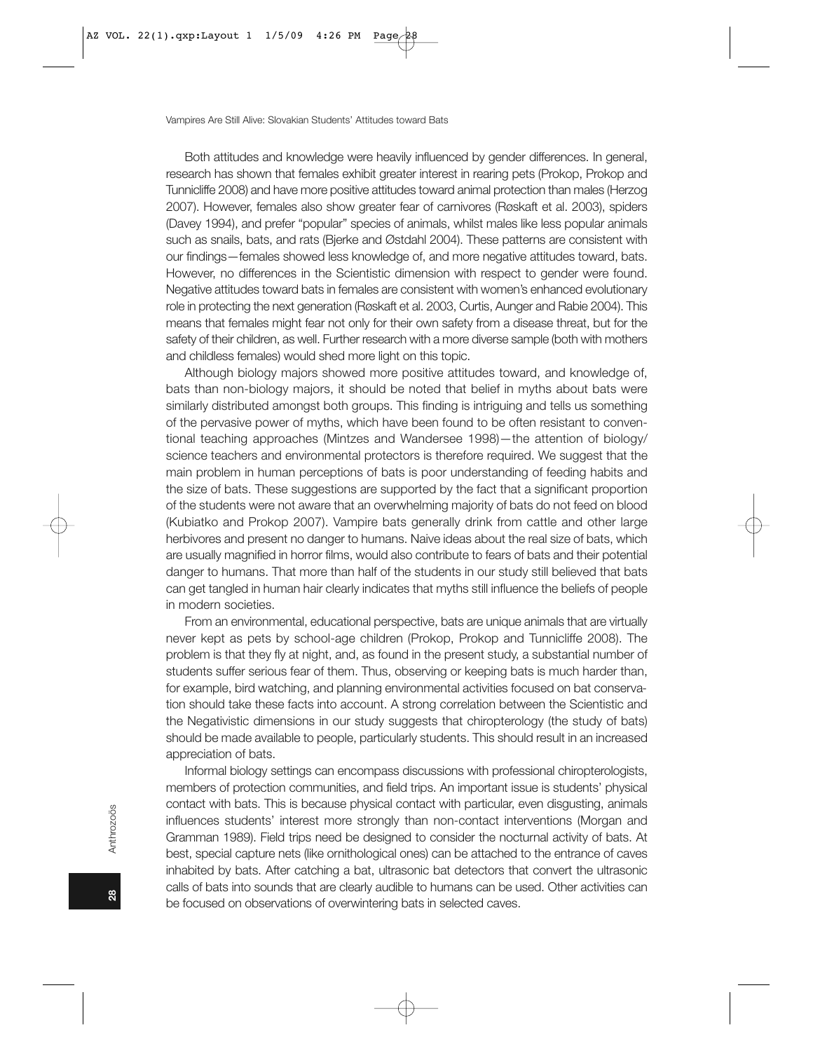Both attitudes and knowledge were heavily influenced by gender differences. In general, research has shown that females exhibit greater interest in rearing pets (Prokop, Prokop and Tunnicliffe 2008) and have more positive attitudes toward animal protection than males (Herzog 2007). However, females also show greater fear of carnivores (Røskaft et al. 2003), spiders (Davey 1994), and prefer "popular" species of animals, whilst males like less popular animals such as snails, bats, and rats (Bjerke and Østdahl 2004). These patterns are consistent with our findings—females showed less knowledge of, and more negative attitudes toward, bats. However, no differences in the Scientistic dimension with respect to gender were found. Negative attitudes toward bats in females are consistent with women's enhanced evolutionary role in protecting the next generation (Røskaft et al. 2003, Curtis, Aunger and Rabie 2004). This means that females might fear not only for their own safety from a disease threat, but for the safety of their children, as well. Further research with a more diverse sample (both with mothers and childless females) would shed more light on this topic.

Although biology majors showed more positive attitudes toward, and knowledge of, bats than non-biology majors, it should be noted that belief in myths about bats were similarly distributed amongst both groups. This finding is intriguing and tells us something of the pervasive power of myths, which have been found to be often resistant to conventional teaching approaches (Mintzes and Wandersee 1998)—the attention of biology/ science teachers and environmental protectors is therefore required. We suggest that the main problem in human perceptions of bats is poor understanding of feeding habits and the size of bats. These suggestions are supported by the fact that a significant proportion of the students were not aware that an overwhelming majority of bats do not feed on blood (Kubiatko and Prokop 2007). Vampire bats generally drink from cattle and other large herbivores and present no danger to humans. Naive ideas about the real size of bats, which are usually magnified in horror films, would also contribute to fears of bats and their potential danger to humans. That more than half of the students in our study still believed that bats can get tangled in human hair clearly indicates that myths still influence the beliefs of people in modern societies.

From an environmental, educational perspective, bats are unique animals that are virtually never kept as pets by school-age children (Prokop, Prokop and Tunnicliffe 2008). The problem is that they fly at night, and, as found in the present study, a substantial number of students suffer serious fear of them. Thus, observing or keeping bats is much harder than, for example, bird watching, and planning environmental activities focused on bat conservation should take these facts into account. A strong correlation between the Scientistic and the Negativistic dimensions in our study suggests that chiropterology (the study of bats) should be made available to people, particularly students. This should result in an increased appreciation of bats.

Informal biology settings can encompass discussions with professional chiropterologists, members of protection communities, and field trips. An important issue is students' physical contact with bats. This is because physical contact with particular, even disgusting, animals influences students' interest more strongly than non-contact interventions (Morgan and Gramman 1989). Field trips need be designed to consider the nocturnal activity of bats. At best, special capture nets (like ornithological ones) can be attached to the entrance of caves inhabited by bats. After catching a bat, ultrasonic bat detectors that convert the ultrasonic calls of bats into sounds that are clearly audible to humans can be used. Other activities can be focused on observations of overwintering bats in selected caves.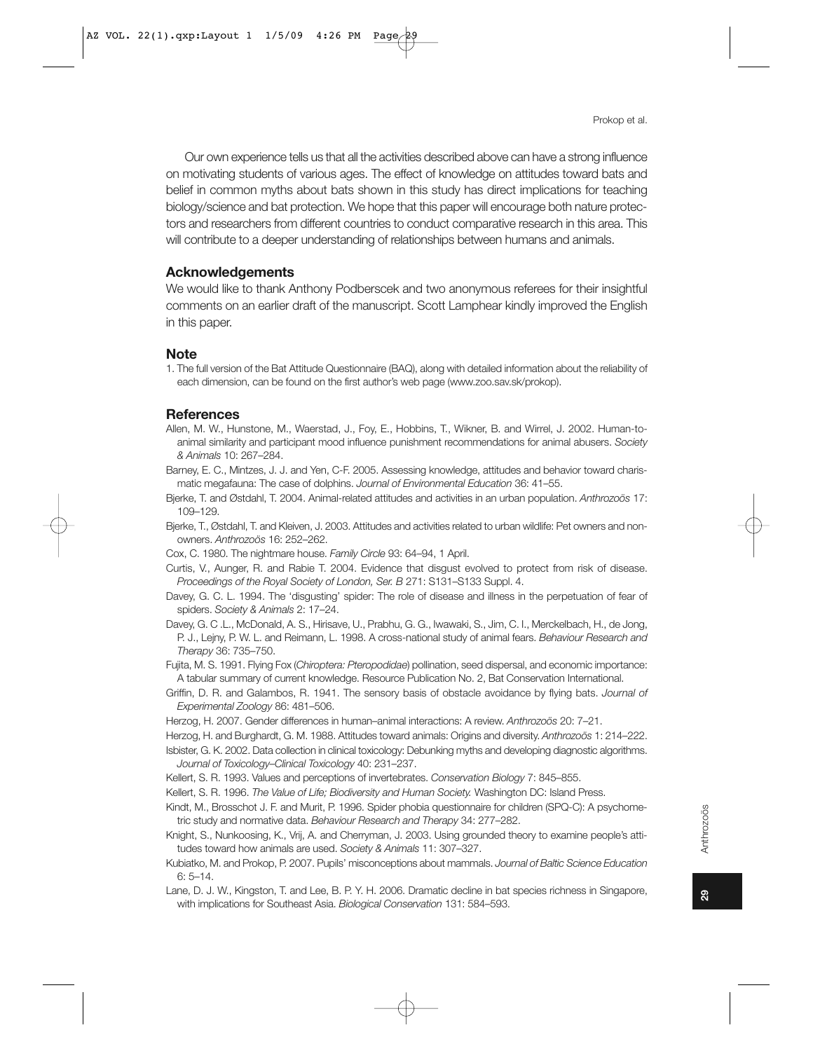Our own experience tells us that all the activities described above can have a strong influence on motivating students of various ages. The effect of knowledge on attitudes toward bats and belief in common myths about bats shown in this study has direct implications for teaching biology/science and bat protection. We hope that this paper will encourage both nature protectors and researchers from different countries to conduct comparative research in this area. This will contribute to a deeper understanding of relationships between humans and animals.

# **Acknowledgements**

We would like to thank Anthony Podberscek and two anonymous referees for their insightful comments on an earlier draft of the manuscript. Scott Lamphear kindly improved the English in this paper.

#### **Note**

1. The full version of the Bat Attitude Questionnaire (BAQ), along with detailed information about the reliability of each dimension, can be found on the first author's web page (www.zoo.sav.sk/prokop).

#### **References**

- Allen, M. W., Hunstone, M., Waerstad, J., Foy, E., Hobbins, T., Wikner, B. and Wirrel, J. 2002. Human-toanimal similarity and participant mood influence punishment recommendations for animal abusers. *Society & Animals* 10: 267–284.
- Barney, E. C., Mintzes, J. J. and Yen, C-F. 2005. Assessing knowledge, attitudes and behavior toward charismatic megafauna: The case of dolphins. *Journal of Environmental Education* 36: 41–55.
- Bjerke, T. and Østdahl, T. 2004. Animal-related attitudes and activities in an urban population. *Anthrozoös* 17: 109–129.
- Bjerke, T., Østdahl, T. and Kleiven, J. 2003. Attitudes and activities related to urban wildlife: Pet owners and nonowners. *Anthrozoös* 16: 252–262.
- Cox, C. 1980. The nightmare house. *Family Circle* 93: 64–94, 1 April.
- Curtis, V., Aunger, R. and Rabie T. 2004. Evidence that disgust evolved to protect from risk of disease. *Proceedings of the Royal Society of London, Ser. B* 271: S131–S133 Suppl. 4.
- Davey, G. C. L. 1994. The 'disgusting' spider: The role of disease and illness in the perpetuation of fear of spiders. *Society & Animals* 2: 17–24.
- Davey, G. C .L., McDonald, A. S., Hirisave, U., Prabhu, G. G., Iwawaki, S., Jim, C. I., Merckelbach, H., de Jong, P. J., Lejny, P. W. L. and Reimann, L. 1998. A cross-national study of animal fears. *Behaviour Research and Therapy* 36: 735–750.
- Fujita, M. S. 1991. Flying Fox (*Chiroptera: Pteropodidae*) pollination, seed dispersal, and economic importance: A tabular summary of current knowledge. Resource Publication No. 2, Bat Conservation International.
- Griffin, D. R. and Galambos, R. 1941. The sensory basis of obstacle avoidance by flying bats. *Journal of Experimental Zoology* 86: 481–506.
- Herzog, H. 2007. Gender differences in human–animal interactions: A review. *Anthrozoös* 20: 7–21.
- Herzog, H. and Burghardt, G. M. 1988. Attitudes toward animals: Origins and diversity. *Anthrozoös* 1: 214–222.
- Isbister, G. K. 2002. Data collection in clinical toxicology: Debunking myths and developing diagnostic algorithms. *Journal of Toxicology–Clinical Toxicology* 40: 231–237.
- Kellert, S. R. 1993. Values and perceptions of invertebrates. *Conservation Biology* 7: 845–855.
- Kellert, S. R. 1996. *The Value of Life; Biodiversity and Human Society.* Washington DC: Island Press.
- Kindt, M., Brosschot J. F. and Murit, P. 1996. Spider phobia questionnaire for children (SPQ-C): A psychometric study and normative data. *Behaviour Research and Therapy* 34: 277–282.
- Knight, S., Nunkoosing, K., Vrij, A. and Cherryman, J. 2003. Using grounded theory to examine people's attitudes toward how animals are used. *Society & Animals* 11: 307–327.
- Kubiatko, M. and Prokop, P. 2007. Pupils' misconceptions about mammals. *Journal of Baltic Science Education* 6: 5–14.
- Lane, D. J. W., Kingston, T. and Lee, B. P. Y. H. 2006. Dramatic decline in bat species richness in Singapore, with implications for Southeast Asia. *Biological Conservation* 131: 584–593.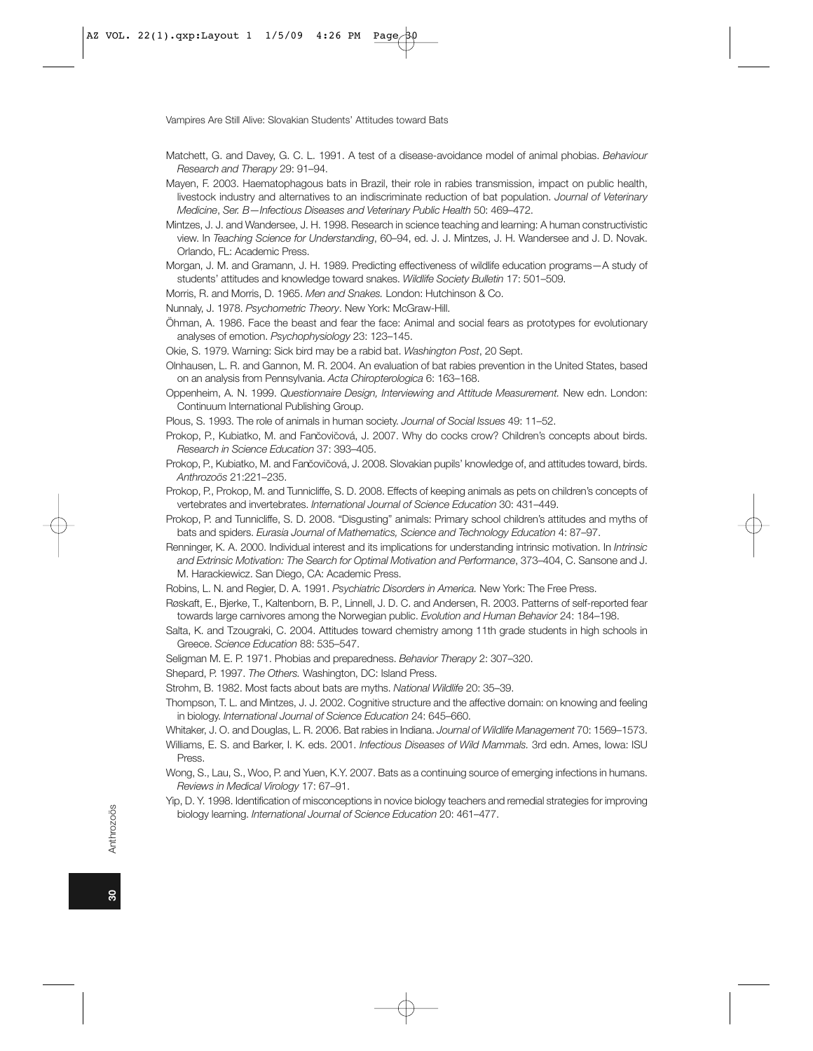- Matchett, G. and Davey, G. C. L. 1991. A test of a disease-avoidance model of animal phobias. *Behaviour Research and Therapy* 29: 91–94.
- Mayen, F. 2003. Haematophagous bats in Brazil, their role in rabies transmission, impact on public health, livestock industry and alternatives to an indiscriminate reduction of bat population. *Journal of Veterinary Medicine*, *Ser. B—Infectious Diseases and Veterinary Public Health* 50: 469–472.
- Mintzes, J. J. and Wandersee, J. H. 1998. Research in science teaching and learning: A human constructivistic view. In *Teaching Science for Understanding*, 60–94, ed. J. J. Mintzes, J. H. Wandersee and J. D. Novak. Orlando, FL: Academic Press.
- Morgan, J. M. and Gramann, J. H. 1989. Predicting effectiveness of wildlife education programs—A study of students' attitudes and knowledge toward snakes. *Wildlife Society Bulletin* 17: 501–509.
- Morris, R. and Morris, D. 1965. *Men and Snakes.* London: Hutchinson & Co.
- Nunnaly, J. 1978. *Psychometric Theory*. New York: McGraw-Hill.
- Öhman, A. 1986. Face the beast and fear the face: Animal and social fears as prototypes for evolutionary analyses of emotion. *Psychophysiology* 23: 123–145.
- Okie, S. 1979. Warning: Sick bird may be a rabid bat. *Washington Post*, 20 Sept.
- Olnhausen, L. R. and Gannon, M. R. 2004. An evaluation of bat rabies prevention in the United States, based on an analysis from Pennsylvania. *Acta Chiropterologica* 6: 163–168.
- Oppenheim, A. N. 1999. *Questionnaire Design, Interviewing and Attitude Measurement.* New edn. London: Continuum International Publishing Group.
- Plous, S. 1993. The role of animals in human society. *Journal of Social Issues* 49: 11–52.
- Prokop, P., Kubiatko, M. and Fančovičová, J. 2007. Why do cocks crow? Children's concepts about birds. *Research in Science Education* 37: 393–405.
- Prokop, P., Kubiatko, M. and Fančovičová, J. 2008. Slovakian pupils' knowledge of, and attitudes toward, birds. *Anthrozoös* 21:221–235.
- Prokop, P., Prokop, M. and Tunnicliffe, S. D. 2008. Effects of keeping animals as pets on children's concepts of vertebrates and invertebrates. *International Journal of Science Education* 30: 431–449.
- Prokop, P. and Tunnicliffe, S. D. 2008. "Disgusting" animals: Primary school children's attitudes and myths of bats and spiders. *Eurasia Journal of Mathematics, Science and Technology Education* 4: 87–97.
- Renninger, K. A. 2000. Individual interest and its implications for understanding intrinsic motivation. In *Intrinsic and Extrinsic Motivation: The Search for Optimal Motivation and Performance*, 373–404, C. Sansone and J. M. Harackiewicz. San Diego, CA: Academic Press.
- Robins, L. N. and Regier, D. A. 1991. *Psychiatric Disorders in America.* New York: The Free Press.
- Røskaft, E., Bjerke, T., Kaltenborn, B. P., Linnell, J. D. C. and Andersen, R. 2003. Patterns of self-reported fear towards large carnivores among the Norwegian public. *Evolution and Human Behavior* 24: 184–198.
- Salta, K. and Tzougraki, C. 2004. Attitudes toward chemistry among 11th grade students in high schools in Greece. *Science Education* 88: 535–547.
- Seligman M. E. P. 1971. Phobias and preparedness. *Behavior Therapy* 2: 307–320.
- Shepard, P. 1997. *The Others.* Washington, DC: Island Press.
- Strohm, B. 1982. Most facts about bats are myths. *National Wildlife* 20: 35–39.
- Thompson, T. L. and Mintzes, J. J. 2002. Cognitive structure and the affective domain: on knowing and feeling in biology. *International Journal of Science Education* 24: 645–660.
- Whitaker, J. O. and Douglas, L. R. 2006. Bat rabies in Indiana. *Journal of Wildlife Management* 70: 1569–1573.
- Williams, E. S. and Barker, I. K. eds. 2001. *Infectious Diseases of Wild Mammals.* 3rd edn. Ames, Iowa: ISU Press.
- Wong, S., Lau, S., Woo, P. and Yuen, K.Y. 2007. Bats as a continuing source of emerging infections in humans. *Reviews in Medical Virology* 17: 67–91.
- Yip, D. Y. 1998. Identification of misconceptions in novice biology teachers and remedial strategies for improving biology learning. *International Journal of Science Education* 20: 461–477.